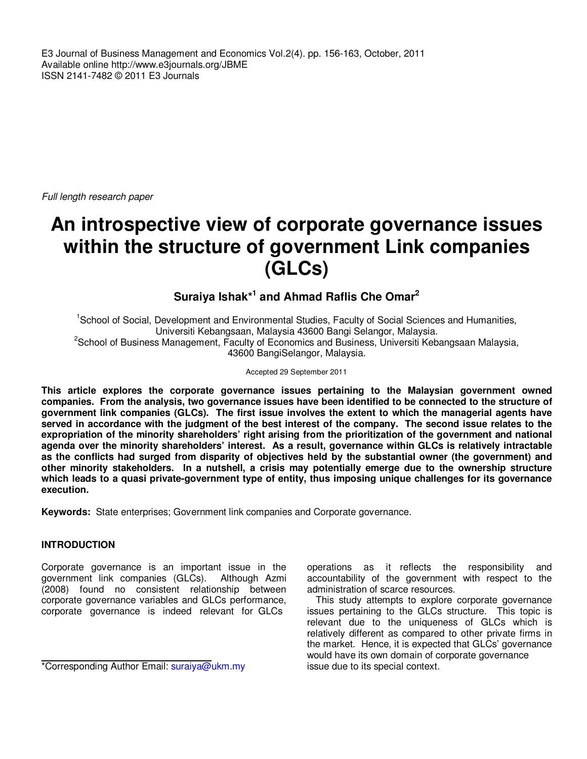E3 Journal of Business Management and Economics Vol.2(4). pp. 156-163, October, 2011 Available online http://www.e3journals.org/JBME ISSN 2141-7482 © 2011 E3 Journals

Full length research paper

# **An introspective view of corporate governance issues within the structure of government Link companies (GLCs)**

## **Suraiya Ishak\*<sup>1</sup> and Ahmad Raflis Che Omar<sup>2</sup>**

<sup>1</sup>School of Social, Development and Environmental Studies, Faculty of Social Sciences and Humanities, Universiti Kebangsaan, Malaysia 43600 Bangi Selangor, Malaysia. <sup>2</sup>School of Business Management, Faculty of Economics and Business, Universiti Kebangsaan Malaysia, 43600 BangiSelangor, Malaysia.

#### Accepted 29 September 2011

**This article explores the corporate governance issues pertaining to the Malaysian government owned companies. From the analysis, two governance issues have been identified to be connected to the structure of government link companies (GLCs). The first issue involves the extent to which the managerial agents have served in accordance with the judgment of the best interest of the company. The second issue relates to the expropriation of the minority shareholders' right arising from the prioritization of the government and national agenda over the minority shareholders' interest. As a result, governance within GLCs is relatively intractable as the conflicts had surged from disparity of objectives held by the substantial owner (the government) and other minority stakeholders. In a nutshell, a crisis may potentially emerge due to the ownership structure which leads to a quasi private-government type of entity, thus imposing unique challenges for its governance execution.** 

**Keywords:** State enterprises; Government link companies and Corporate governance.

#### **INTRODUCTION**

Corporate governance is an important issue in the government link companies (GLCs). Although Azmi (2008) found no consistent relationship between corporate governance variables and GLCs performance, corporate governance is indeed relevant for GLCs

operations as it reflects the responsibility and accountability of the government with respect to the administration of scarce resources.

This study attempts to explore corporate governance issues pertaining to the GLCs structure. This topic is relevant due to the uniqueness of GLCs which is relatively different as compared to other private firms in the market. Hence, it is expected that GLCs' governance would have its own domain of corporate governance issue due to its special context.

<sup>\*</sup>Corresponding Author Email: suraiya@ukm.my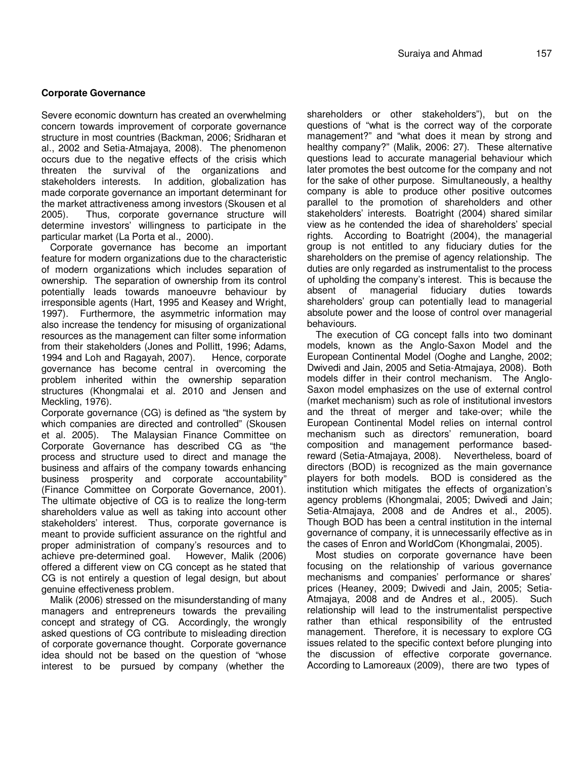#### **Corporate Governance**

Severe economic downturn has created an overwhelming concern towards improvement of corporate governance structure in most countries (Backman, 2006; Sridharan et al., 2002 and Setia-Atmajaya, 2008). The phenomenon occurs due to the negative effects of the crisis which threaten the survival of the organizations and stakeholders interests. In addition, globalization has made corporate governance an important determinant for the market attractiveness among investors (Skousen et al 2005). Thus, corporate governance structure will determine investors' willingness to participate in the particular market (La Porta et al., 2000).

Corporate governance has become an important feature for modern organizations due to the characteristic of modern organizations which includes separation of ownership. The separation of ownership from its control potentially leads towards manoeuvre behaviour by irresponsible agents (Hart, 1995 and Keasey and Wright, 1997). Furthermore, the asymmetric information may also increase the tendency for misusing of organizational resources as the management can filter some information from their stakeholders (Jones and Pollitt, 1996; Adams, 1994 and Loh and Ragayah, 2007). Hence, corporate 1994 and Loh and Ragayah, 2007). governance has become central in overcoming the problem inherited within the ownership separation structures (Khongmalai et al. 2010 and Jensen and Meckling, 1976).

Corporate governance (CG) is defined as "the system by which companies are directed and controlled" (Skousen et al. 2005). The Malaysian Finance Committee on Corporate Governance has described CG as "the process and structure used to direct and manage the business and affairs of the company towards enhancing business prosperity and corporate accountability" (Finance Committee on Corporate Governance, 2001). The ultimate objective of CG is to realize the long-term shareholders value as well as taking into account other stakeholders' interest. Thus, corporate governance is meant to provide sufficient assurance on the rightful and proper administration of company's resources and to achieve pre-determined goal. However, Malik (2006) offered a different view on CG concept as he stated that CG is not entirely a question of legal design, but about genuine effectiveness problem.

Malik (2006) stressed on the misunderstanding of many managers and entrepreneurs towards the prevailing concept and strategy of CG. Accordingly, the wrongly asked questions of CG contribute to misleading direction of corporate governance thought. Corporate governance idea should not be based on the question of "whose interest to be pursued by company (whether the

shareholders or other stakeholders"), but on the questions of "what is the correct way of the corporate management?" and "what does it mean by strong and healthy company?" (Malik, 2006: 27). These alternative questions lead to accurate managerial behaviour which later promotes the best outcome for the company and not for the sake of other purpose. Simultaneously, a healthy company is able to produce other positive outcomes parallel to the promotion of shareholders and other stakeholders' interests. Boatright (2004) shared similar view as he contended the idea of shareholders' special rights. According to Boatright (2004), the managerial group is not entitled to any fiduciary duties for the shareholders on the premise of agency relationship. The duties are only regarded as instrumentalist to the process of upholding the company's interest. This is because the absent of managerial fiduciary duties towards shareholders' group can potentially lead to managerial absolute power and the loose of control over managerial behaviours.

The execution of CG concept falls into two dominant models, known as the Anglo-Saxon Model and the European Continental Model (Ooghe and Langhe, 2002; Dwivedi and Jain, 2005 and Setia-Atmajaya, 2008). Both models differ in their control mechanism. The Anglo-Saxon model emphasizes on the use of external control (market mechanism) such as role of institutional investors and the threat of merger and take-over; while the European Continental Model relies on internal control mechanism such as directors' remuneration, board composition and management performance basedreward (Setia-Atmajaya, 2008). Nevertheless, board of directors (BOD) is recognized as the main governance players for both models. BOD is considered as the institution which mitigates the effects of organization's agency problems (Khongmalai, 2005; Dwivedi and Jain; Setia-Atmajaya, 2008 and de Andres et al., 2005). Though BOD has been a central institution in the internal governance of company, it is unnecessarily effective as in the cases of Enron and WorldCom (Khongmalai, 2005).

Most studies on corporate governance have been focusing on the relationship of various governance mechanisms and companies' performance or shares' prices (Heaney, 2009; Dwivedi and Jain, 2005; Setia-Atmajaya, 2008 and de Andres et al., 2005). Such relationship will lead to the instrumentalist perspective rather than ethical responsibility of the entrusted management. Therefore, it is necessary to explore CG issues related to the specific context before plunging into the discussion of effective corporate governance. According to Lamoreaux (2009), there are two types of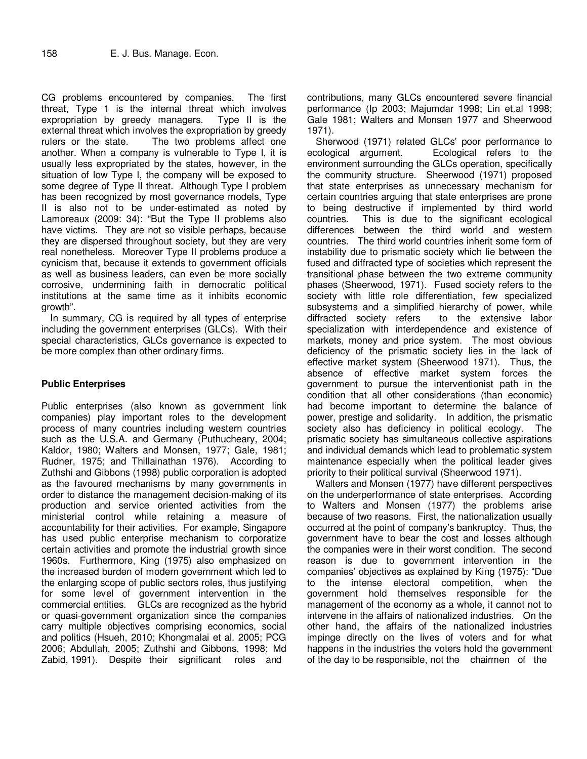CG problems encountered by companies. The first threat, Type 1 is the internal threat which involves expropriation by greedy managers. Type II is the external threat which involves the expropriation by greedy rulers or the state. The two problems affect one another. When a company is vulnerable to Type I, it is usually less expropriated by the states, however, in the situation of low Type I, the company will be exposed to some degree of Type II threat. Although Type I problem has been recognized by most governance models, Type II is also not to be under-estimated as noted by Lamoreaux (2009: 34): "But the Type II problems also have victims. They are not so visible perhaps, because they are dispersed throughout society, but they are very real nonetheless. Moreover Type II problems produce a cynicism that, because it extends to government officials as well as business leaders, can even be more socially corrosive, undermining faith in democratic political institutions at the same time as it inhibits economic growth".

In summary, CG is required by all types of enterprise including the government enterprises (GLCs). With their special characteristics, GLCs governance is expected to be more complex than other ordinary firms.

#### **Public Enterprises**

Public enterprises (also known as government link companies) play important roles to the development process of many countries including western countries such as the U.S.A. and Germany (Puthucheary, 2004; Kaldor, 1980; Walters and Monsen, 1977; Gale, 1981; Rudner, 1975; and Thillainathan 1976). According to Zuthshi and Gibbons (1998) public corporation is adopted as the favoured mechanisms by many governments in order to distance the management decision-making of its production and service oriented activities from the ministerial control while retaining a measure of accountability for their activities. For example, Singapore has used public enterprise mechanism to corporatize certain activities and promote the industrial growth since 1960s. Furthermore, King (1975) also emphasized on the increased burden of modern government which led to the enlarging scope of public sectors roles, thus justifying for some level of government intervention in the commercial entities. GLCs are recognized as the hybrid or quasi-government organization since the companies carry multiple objectives comprising economics, social and politics (Hsueh, 2010; Khongmalai et al. 2005; PCG 2006; Abdullah, 2005; Zuthshi and Gibbons, 1998; Md Zabid, 1991). Despite their significant roles and

contributions, many GLCs encountered severe financial performance (Ip 2003; Majumdar 1998; Lin et.al 1998; Gale 1981; Walters and Monsen 1977 and Sheerwood 1971).

Sherwood (1971) related GLCs' poor performance to ecological argument. Ecological refers to the environment surrounding the GLCs operation, specifically the community structure. Sheerwood (1971) proposed that state enterprises as unnecessary mechanism for certain countries arguing that state enterprises are prone to being destructive if implemented by third world countries. This is due to the significant ecological differences between the third world and western countries. The third world countries inherit some form of instability due to prismatic society which lie between the fused and diffracted type of societies which represent the transitional phase between the two extreme community phases (Sheerwood, 1971). Fused society refers to the society with little role differentiation, few specialized subsystems and a simplified hierarchy of power, while diffracted society refers to the extensive labor specialization with interdependence and existence of markets, money and price system. The most obvious deficiency of the prismatic society lies in the lack of effective market system (Sheerwood 1971). Thus, the absence of effective market system forces the government to pursue the interventionist path in the condition that all other considerations (than economic) had become important to determine the balance of power, prestige and solidarity. In addition, the prismatic society also has deficiency in political ecology. The prismatic society has simultaneous collective aspirations and individual demands which lead to problematic system maintenance especially when the political leader gives priority to their political survival (Sheerwood 1971).

Walters and Monsen (1977) have different perspectives on the underperformance of state enterprises. According to Walters and Monsen (1977) the problems arise because of two reasons. First, the nationalization usually occurred at the point of company's bankruptcy. Thus, the government have to bear the cost and losses although the companies were in their worst condition. The second reason is due to government intervention in the companies' objectives as explained by King (1975): "Due to the intense electoral competition, when the government hold themselves responsible for the management of the economy as a whole, it cannot not to intervene in the affairs of nationalized industries. On the other hand, the affairs of the nationalized industries impinge directly on the lives of voters and for what happens in the industries the voters hold the government of the day to be responsible, not the chairmen of the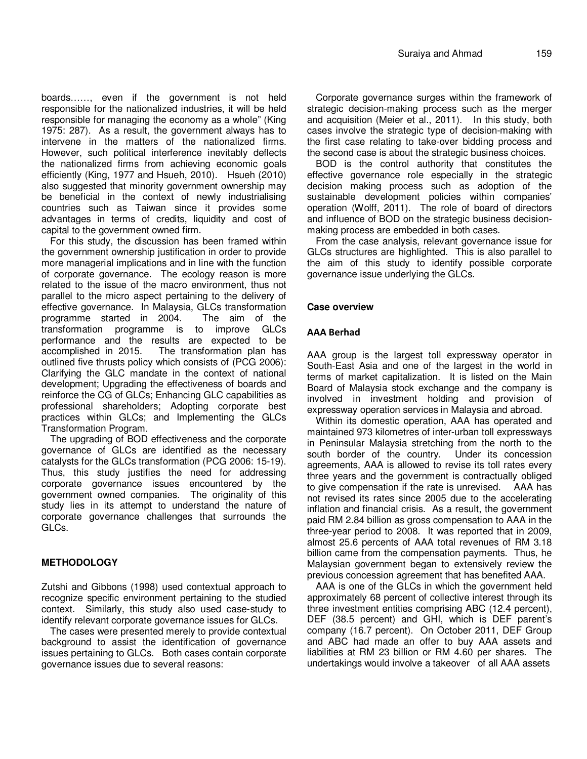boards……, even if the government is not held responsible for the nationalized industries, it will be held responsible for managing the economy as a whole" (King 1975: 287). As a result, the government always has to intervene in the matters of the nationalized firms. However, such political interference inevitably deflects the nationalized firms from achieving economic goals efficiently (King, 1977 and Hsueh, 2010). Hsueh (2010) also suggested that minority government ownership may be beneficial in the context of newly industrialising countries such as Taiwan since it provides some advantages in terms of credits, liquidity and cost of capital to the government owned firm.

For this study, the discussion has been framed within the government ownership justification in order to provide more managerial implications and in line with the function of corporate governance. The ecology reason is more related to the issue of the macro environment, thus not parallel to the micro aspect pertaining to the delivery of effective governance. In Malaysia, GLCs transformation programme started in 2004. The aim of the transformation programme is to improve GLCs performance and the results are expected to be accomplished in 2015. The transformation plan has outlined five thrusts policy which consists of (PCG 2006): Clarifying the GLC mandate in the context of national development; Upgrading the effectiveness of boards and reinforce the CG of GLCs; Enhancing GLC capabilities as professional shareholders; Adopting corporate best practices within GLCs; and Implementing the GLCs Transformation Program.

The upgrading of BOD effectiveness and the corporate governance of GLCs are identified as the necessary catalysts for the GLCs transformation (PCG 2006: 15-19). Thus, this study justifies the need for addressing corporate governance issues encountered by the government owned companies. The originality of this study lies in its attempt to understand the nature of corporate governance challenges that surrounds the GLCs.

#### **METHODOLOGY**

Zutshi and Gibbons (1998) used contextual approach to recognize specific environment pertaining to the studied context. Similarly, this study also used case-study to identify relevant corporate governance issues for GLCs.

The cases were presented merely to provide contextual background to assist the identification of governance issues pertaining to GLCs. Both cases contain corporate governance issues due to several reasons:

Corporate governance surges within the framework of strategic decision-making process such as the merger and acquisition (Meier et al., 2011). In this study, both cases involve the strategic type of decision-making with the first case relating to take-over bidding process and the second case is about the strategic business choices.

BOD is the control authority that constitutes the effective governance role especially in the strategic decision making process such as adoption of the sustainable development policies within companies' operation (Wolff, 2011). The role of board of directors and influence of BOD on the strategic business decisionmaking process are embedded in both cases.

From the case analysis, relevant governance issue for GLCs structures are highlighted. This is also parallel to the aim of this study to identify possible corporate governance issue underlying the GLCs.

#### **Case overview**

#### **AAA Berhad**

AAA group is the largest toll expressway operator in South-East Asia and one of the largest in the world in terms of market capitalization. It is listed on the Main Board of Malaysia stock exchange and the company is involved in investment holding and provision of expressway operation services in Malaysia and abroad.

Within its domestic operation, AAA has operated and maintained 973 kilometres of inter-urban toll expressways in Peninsular Malaysia stretching from the north to the south border of the country. Under its concession agreements, AAA is allowed to revise its toll rates every three years and the government is contractually obliged to give compensation if the rate is unrevised. AAA has not revised its rates since 2005 due to the accelerating inflation and financial crisis. As a result, the government paid RM 2.84 billion as gross compensation to AAA in the three-year period to 2008. It was reported that in 2009, almost 25.6 percents of AAA total revenues of RM 3.18 billion came from the compensation payments. Thus, he Malaysian government began to extensively review the previous concession agreement that has benefited AAA.

AAA is one of the GLCs in which the government held approximately 68 percent of collective interest through its three investment entities comprising ABC (12.4 percent), DEF (38.5 percent) and GHI, which is DEF parent's company (16.7 percent). On October 2011, DEF Group and ABC had made an offer to buy AAA assets and liabilities at RM 23 billion or RM 4.60 per shares. The undertakings would involve a takeover of all AAA assets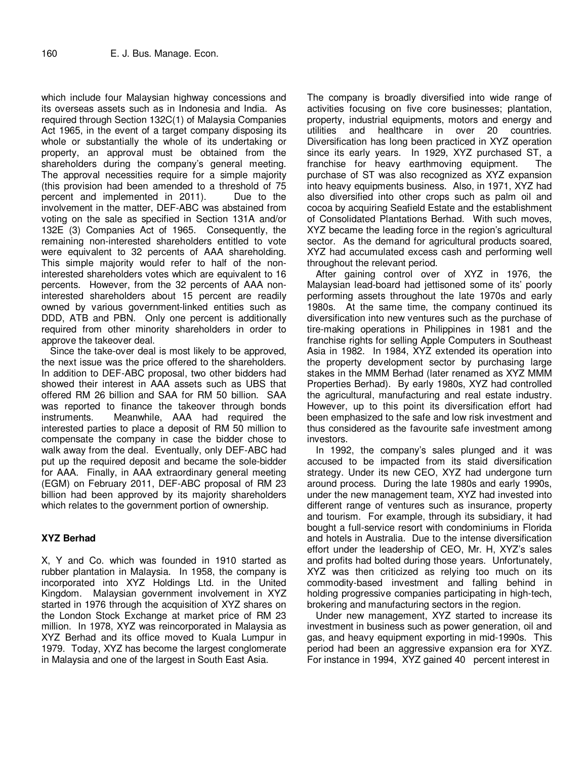which include four Malaysian highway concessions and its overseas assets such as in Indonesia and India. As required through Section 132C(1) of Malaysia Companies Act 1965, in the event of a target company disposing its whole or substantially the whole of its undertaking or property, an approval must be obtained from the shareholders during the company's general meeting. The approval necessities require for a simple majority (this provision had been amended to a threshold of 75 percent and implemented in 2011). Due to the involvement in the matter, DEF-ABC was abstained from voting on the sale as specified in Section 131A and/or 132E (3) Companies Act of 1965. Consequently, the remaining non-interested shareholders entitled to vote were equivalent to 32 percents of AAA shareholding. This simple majority would refer to half of the noninterested shareholders votes which are equivalent to 16 percents. However, from the 32 percents of AAA noninterested shareholders about 15 percent are readily owned by various government-linked entities such as DDD, ATB and PBN. Only one percent is additionally required from other minority shareholders in order to approve the takeover deal.

Since the take-over deal is most likely to be approved, the next issue was the price offered to the shareholders. In addition to DEF-ABC proposal, two other bidders had showed their interest in AAA assets such as UBS that offered RM 26 billion and SAA for RM 50 billion. SAA was reported to finance the takeover through bonds instruments. Meanwhile, AAA had required the interested parties to place a deposit of RM 50 million to compensate the company in case the bidder chose to walk away from the deal. Eventually, only DEF-ABC had put up the required deposit and became the sole-bidder for AAA. Finally, in AAA extraordinary general meeting (EGM) on February 2011, DEF-ABC proposal of RM 23 billion had been approved by its majority shareholders which relates to the government portion of ownership.

### **XYZ Berhad**

X, Y and Co. which was founded in 1910 started as rubber plantation in Malaysia. In 1958, the company is incorporated into XYZ Holdings Ltd. in the United Kingdom. Malaysian government involvement in XYZ started in 1976 through the acquisition of XYZ shares on the London Stock Exchange at market price of RM 23 million. In 1978, XYZ was reincorporated in Malaysia as XYZ Berhad and its office moved to Kuala Lumpur in 1979. Today, XYZ has become the largest conglomerate in Malaysia and one of the largest in South East Asia.

The company is broadly diversified into wide range of activities focusing on five core businesses; plantation, property, industrial equipments, motors and energy and utilities and healthcare in over 20 countries. Diversification has long been practiced in XYZ operation since its early years. In 1929, XYZ purchased ST, a franchise for heavy earthmoving equipment. The purchase of ST was also recognized as XYZ expansion into heavy equipments business. Also, in 1971, XYZ had also diversified into other crops such as palm oil and cocoa by acquiring Seafield Estate and the establishment of Consolidated Plantations Berhad. With such moves, XYZ became the leading force in the region's agricultural sector. As the demand for agricultural products soared, XYZ had accumulated excess cash and performing well throughout the relevant period.

After gaining control over of XYZ in 1976, the Malaysian lead-board had jettisoned some of its' poorly performing assets throughout the late 1970s and early 1980s. At the same time, the company continued its diversification into new ventures such as the purchase of tire-making operations in Philippines in 1981 and the franchise rights for selling Apple Computers in Southeast Asia in 1982. In 1984, XYZ extended its operation into the property development sector by purchasing large stakes in the MMM Berhad (later renamed as XYZ MMM Properties Berhad). By early 1980s, XYZ had controlled the agricultural, manufacturing and real estate industry. However, up to this point its diversification effort had been emphasized to the safe and low risk investment and thus considered as the favourite safe investment among investors.

In 1992, the company's sales plunged and it was accused to be impacted from its staid diversification strategy. Under its new CEO, XYZ had undergone turn around process. During the late 1980s and early 1990s, under the new management team, XYZ had invested into different range of ventures such as insurance, property and tourism. For example, through its subsidiary, it had bought a full-service resort with condominiums in Florida and hotels in Australia. Due to the intense diversification effort under the leadership of CEO, Mr. H, XYZ's sales and profits had bolted during those years. Unfortunately, XYZ was then criticized as relying too much on its commodity-based investment and falling behind in holding progressive companies participating in high-tech, brokering and manufacturing sectors in the region.

Under new management, XYZ started to increase its investment in business such as power generation, oil and gas, and heavy equipment exporting in mid-1990s. This period had been an aggressive expansion era for XYZ. For instance in 1994, XYZ gained 40 percent interest in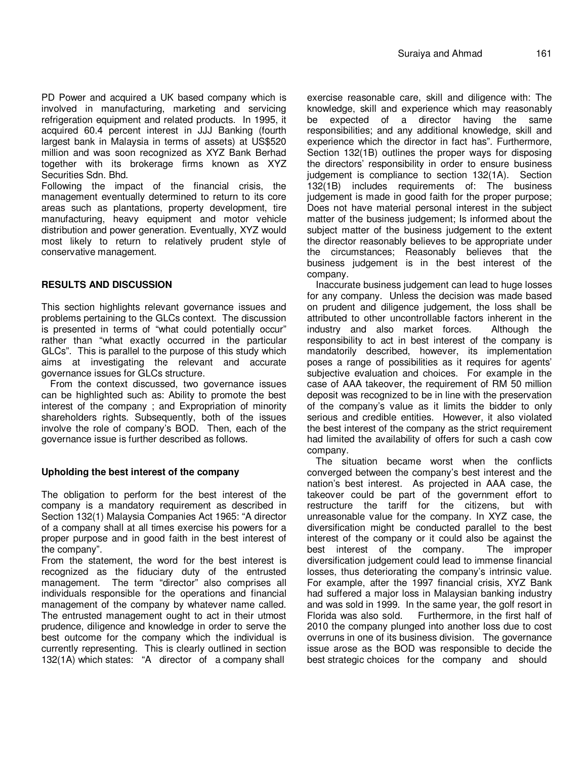PD Power and acquired a UK based company which is involved in manufacturing, marketing and servicing refrigeration equipment and related products. In 1995, it acquired 60.4 percent interest in JJJ Banking (fourth largest bank in Malaysia in terms of assets) at US\$520 million and was soon recognized as XYZ Bank Berhad together with its brokerage firms known as XYZ Securities Sdn. Bhd.

Following the impact of the financial crisis, the management eventually determined to return to its core areas such as plantations, property development, tire manufacturing, heavy equipment and motor vehicle distribution and power generation. Eventually, XYZ would most likely to return to relatively prudent style of conservative management.

#### **RESULTS AND DISCUSSION**

This section highlights relevant governance issues and problems pertaining to the GLCs context. The discussion is presented in terms of "what could potentially occur" rather than "what exactly occurred in the particular GLCs". This is parallel to the purpose of this study which aims at investigating the relevant and accurate governance issues for GLCs structure.

From the context discussed, two governance issues can be highlighted such as: Ability to promote the best interest of the company ; and Expropriation of minority shareholders rights. Subsequently, both of the issues involve the role of company's BOD. Then, each of the governance issue is further described as follows.

#### **Upholding the best interest of the company**

The obligation to perform for the best interest of the company is a mandatory requirement as described in Section 132(1) Malaysia Companies Act 1965: "A director of a company shall at all times exercise his powers for a proper purpose and in good faith in the best interest of the company".

From the statement, the word for the best interest is recognized as the fiduciary duty of the entrusted management. The term "director" also comprises all individuals responsible for the operations and financial management of the company by whatever name called. The entrusted management ought to act in their utmost prudence, diligence and knowledge in order to serve the best outcome for the company which the individual is currently representing. This is clearly outlined in section 132(1A) which states: "A director of a company shall

exercise reasonable care, skill and diligence with: The knowledge, skill and experience which may reasonably be expected of a director having the same responsibilities; and any additional knowledge, skill and experience which the director in fact has". Furthermore, Section 132(1B) outlines the proper ways for disposing the directors' responsibility in order to ensure business judgement is compliance to section 132(1A). Section 132(1B) includes requirements of: The business judgement is made in good faith for the proper purpose; Does not have material personal interest in the subject matter of the business judgement; Is informed about the subject matter of the business judgement to the extent the director reasonably believes to be appropriate under the circumstances; Reasonably believes that the business judgement is in the best interest of the company.

Inaccurate business judgement can lead to huge losses for any company. Unless the decision was made based on prudent and diligence judgement, the loss shall be attributed to other uncontrollable factors inherent in the industry and also market forces. Although the responsibility to act in best interest of the company is mandatorily described, however, its implementation poses a range of possibilities as it requires for agents' subjective evaluation and choices. For example in the case of AAA takeover, the requirement of RM 50 million deposit was recognized to be in line with the preservation of the company's value as it limits the bidder to only serious and credible entities. However, it also violated the best interest of the company as the strict requirement had limited the availability of offers for such a cash cow company.

The situation became worst when the conflicts converged between the company's best interest and the nation's best interest. As projected in AAA case, the takeover could be part of the government effort to restructure the tariff for the citizens, but with unreasonable value for the company. In XYZ case, the diversification might be conducted parallel to the best interest of the company or it could also be against the best interest of the company. The improper diversification judgement could lead to immense financial losses, thus deteriorating the company's intrinsic value. For example, after the 1997 financial crisis, XYZ Bank had suffered a major loss in Malaysian banking industry and was sold in 1999. In the same year, the golf resort in Furthermore, in the first half of 2010 the company plunged into another loss due to cost overruns in one of its business division. The governance issue arose as the BOD was responsible to decide the best strategic choices for the company and should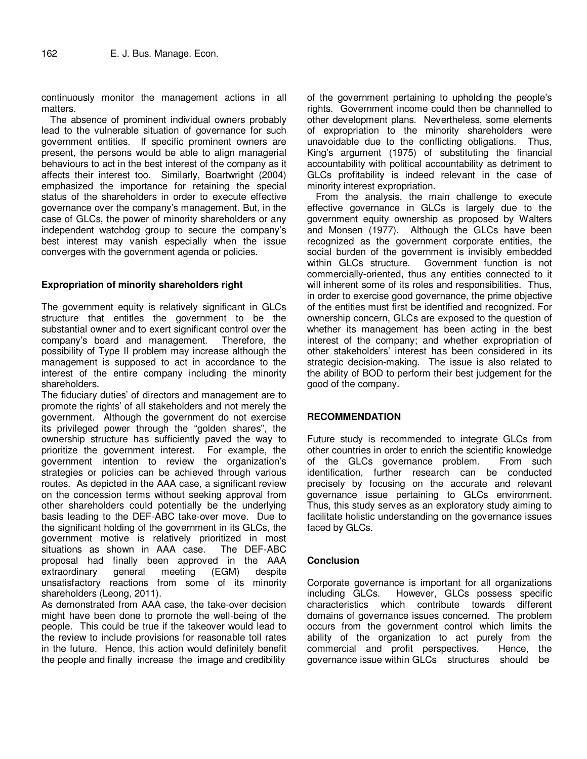continuously monitor the management actions in all matters.

The absence of prominent individual owners probably lead to the vulnerable situation of governance for such government entities. If specific prominent owners are present, the persons would be able to align managerial behaviours to act in the best interest of the company as it affects their interest too. Similarly, Boartwright (2004) emphasized the importance for retaining the special status of the shareholders in order to execute effective governance over the company's management. But, in the case of GLCs, the power of minority shareholders or any independent watchdog group to secure the company's best interest may vanish especially when the issue converges with the government agenda or policies.

#### **Expropriation of minority shareholders right**

The government equity is relatively significant in GLCs structure that entitles the government to be the substantial owner and to exert significant control over the company's board and management. Therefore, the possibility of Type II problem may increase although the management is supposed to act in accordance to the interest of the entire company including the minority shareholders.

The fiduciary duties' of directors and management are to promote the rights' of all stakeholders and not merely the government. Although the government do not exercise its privileged power through the "golden shares", the ownership structure has sufficiently paved the way to prioritize the government interest. For example, the government intention to review the organization's strategies or policies can be achieved through various routes. As depicted in the AAA case, a significant review on the concession terms without seeking approval from other shareholders could potentially be the underlying basis leading to the DEF-ABC take-over move. Due to the significant holding of the government in its GLCs, the government motive is relatively prioritized in most situations as shown in AAA case. The DEF-ABC proposal had finally been approved in the AAA extraordinary general meeting (EGM) despite unsatisfactory reactions from some of its minority shareholders (Leong, 2011).

As demonstrated from AAA case, the take-over decision might have been done to promote the well-being of the people. This could be true if the takeover would lead to the review to include provisions for reasonable toll rates in the future. Hence, this action would definitely benefit the people and finally increase the image and credibility

of the government pertaining to upholding the people's rights. Government income could then be channelled to other development plans. Nevertheless, some elements of expropriation to the minority shareholders were unavoidable due to the conflicting obligations. Thus, King's argument (1975) of substituting the financial accountability with political accountability as detriment to GLCs profitability is indeed relevant in the case of minority interest expropriation.

From the analysis, the main challenge to execute effective governance in GLCs is largely due to the government equity ownership as proposed by Walters and Monsen (1977). Although the GLCs have been recognized as the government corporate entities, the social burden of the government is invisibly embedded within GLCs structure. Government function is not commercially-oriented, thus any entities connected to it will inherent some of its roles and responsibilities. Thus, in order to exercise good governance, the prime objective of the entities must first be identified and recognized. For ownership concern, GLCs are exposed to the question of whether its management has been acting in the best interest of the company; and whether expropriation of other stakeholders' interest has been considered in its strategic decision-making. The issue is also related to the ability of BOD to perform their best judgement for the good of the company.

#### **RECOMMENDATION**

Future study is recommended to integrate GLCs from other countries in order to enrich the scientific knowledge of the GLCs governance problem. From such identification, further research can be conducted precisely by focusing on the accurate and relevant governance issue pertaining to GLCs environment. Thus, this study serves as an exploratory study aiming to facilitate holistic understanding on the governance issues faced by GLCs.

#### **Conclusion**

Corporate governance is important for all organizations including GLCs. However, GLCs possess specific characteristics which contribute towards different domains of governance issues concerned. The problem occurs from the government control which limits the ability of the organization to act purely from the commercial and profit perspectives. Hence, the governance issue within GLCs structures should be